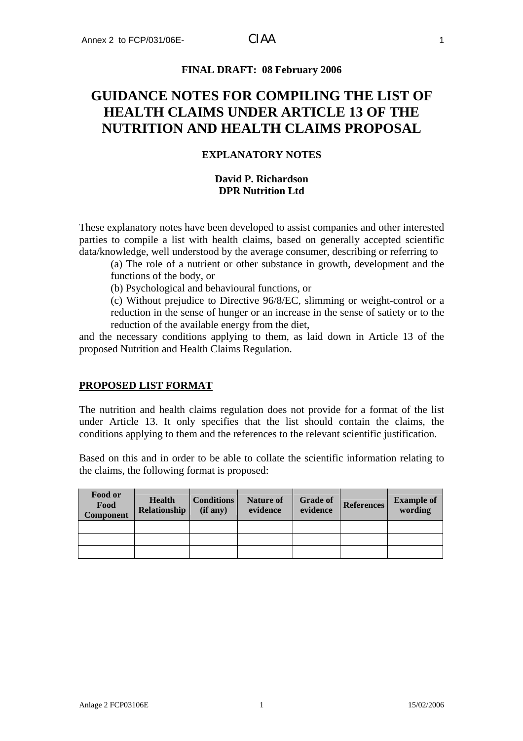### **FINAL DRAFT: 08 February 2006**

# **GUIDANCE NOTES FOR COMPILING THE LIST OF HEALTH CLAIMS UNDER ARTICLE 13 OF THE NUTRITION AND HEALTH CLAIMS PROPOSAL**

## **EXPLANATORY NOTES**

### **David P. Richardson DPR Nutrition Ltd**

These explanatory notes have been developed to assist companies and other interested parties to compile a list with health claims, based on generally accepted scientific data/knowledge, well understood by the average consumer, describing or referring to

(a) The role of a nutrient or other substance in growth, development and the functions of the body, or

(b) Psychological and behavioural functions, or

(c) Without prejudice to Directive 96/8/EC, slimming or weight-control or a reduction in the sense of hunger or an increase in the sense of satiety or to the reduction of the available energy from the diet,

and the necessary conditions applying to them, as laid down in Article 13 of the proposed Nutrition and Health Claims Regulation.

### **PROPOSED LIST FORMAT**

The nutrition and health claims regulation does not provide for a format of the list under Article 13. It only specifies that the list should contain the claims, the conditions applying to them and the references to the relevant scientific justification.

Based on this and in order to be able to collate the scientific information relating to the claims, the following format is proposed:

| Food or<br>Food<br>Component | <b>Health</b><br><b>Relationship</b> | <b>Conditions</b><br>(if any) | <b>Nature of</b><br>evidence | <b>Grade of</b><br>evidence | <b>References</b> | <b>Example of</b><br>wording |
|------------------------------|--------------------------------------|-------------------------------|------------------------------|-----------------------------|-------------------|------------------------------|
|                              |                                      |                               |                              |                             |                   |                              |
|                              |                                      |                               |                              |                             |                   |                              |
|                              |                                      |                               |                              |                             |                   |                              |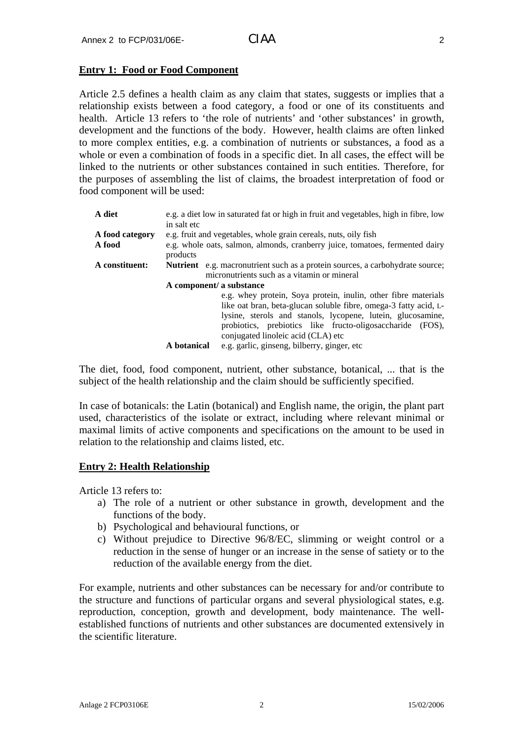### **Entry 1: Food or Food Component**

Article 2.5 defines a health claim as any claim that states, suggests or implies that a relationship exists between a food category, a food or one of its constituents and health. Article 13 refers to 'the role of nutrients' and 'other substances' in growth, development and the functions of the body. However, health claims are often linked to more complex entities, e.g. a combination of nutrients or substances, a food as a whole or even a combination of foods in a specific diet. In all cases, the effect will be linked to the nutrients or other substances contained in such entities. Therefore, for the purposes of assembling the list of claims, the broadest interpretation of food or food component will be used:

| A diet          | in salt etc                                                                                                                                                     | e.g. a diet low in saturated fat or high in fruit and vegetables, high in fibre, low                                                                                                                                                                                                                 |  |  |
|-----------------|-----------------------------------------------------------------------------------------------------------------------------------------------------------------|------------------------------------------------------------------------------------------------------------------------------------------------------------------------------------------------------------------------------------------------------------------------------------------------------|--|--|
| A food category | e.g. fruit and vegetables, whole grain cereals, nuts, oily fish                                                                                                 |                                                                                                                                                                                                                                                                                                      |  |  |
| A food          | e.g. whole oats, salmon, almonds, cranberry juice, tomatoes, fermented dairy<br>products                                                                        |                                                                                                                                                                                                                                                                                                      |  |  |
| A constituent:  | <b>Nutrient</b> e.g. macronutrient such as a protein sources, a carbohydrate source;<br>micronutrients such as a vitamin or mineral<br>A component/ a substance |                                                                                                                                                                                                                                                                                                      |  |  |
|                 |                                                                                                                                                                 | e.g. whey protein, Soya protein, inulin, other fibre materials<br>like oat bran, beta-glucan soluble fibre, omega-3 fatty acid, L-<br>lysine, sterols and stanols, lycopene, lutein, glucosamine,<br>probiotics, prebiotics like fructo-oligosaccharide (FOS),<br>conjugated linoleic acid (CLA) etc |  |  |
|                 | A botanical                                                                                                                                                     | e.g. garlic, ginseng, bilberry, ginger, etc                                                                                                                                                                                                                                                          |  |  |

The diet, food, food component, nutrient, other substance, botanical, ... that is the subject of the health relationship and the claim should be sufficiently specified.

In case of botanicals: the Latin (botanical) and English name, the origin, the plant part used, characteristics of the isolate or extract, including where relevant minimal or maximal limits of active components and specifications on the amount to be used in relation to the relationship and claims listed, etc.

### **Entry 2: Health Relationship**

Article 13 refers to:

- a) The role of a nutrient or other substance in growth, development and the functions of the body.
- b) Psychological and behavioural functions, or
- c) Without prejudice to Directive 96/8/EC, slimming or weight control or a reduction in the sense of hunger or an increase in the sense of satiety or to the reduction of the available energy from the diet.

For example, nutrients and other substances can be necessary for and/or contribute to the structure and functions of particular organs and several physiological states, e.g. reproduction, conception, growth and development, body maintenance. The wellestablished functions of nutrients and other substances are documented extensively in the scientific literature.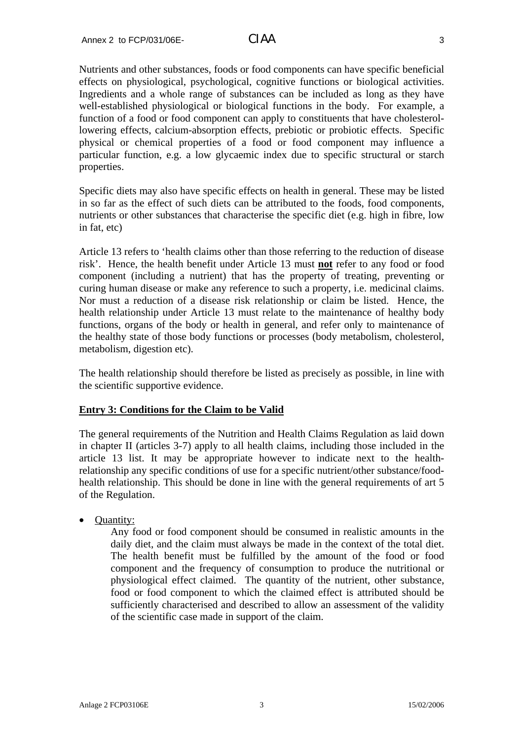Nutrients and other substances, foods or food components can have specific beneficial effects on physiological, psychological, cognitive functions or biological activities. Ingredients and a whole range of substances can be included as long as they have well-established physiological or biological functions in the body. For example, a function of a food or food component can apply to constituents that have cholesterollowering effects, calcium-absorption effects, prebiotic or probiotic effects. Specific physical or chemical properties of a food or food component may influence a particular function, e.g. a low glycaemic index due to specific structural or starch properties.

Specific diets may also have specific effects on health in general. These may be listed in so far as the effect of such diets can be attributed to the foods, food components, nutrients or other substances that characterise the specific diet (e.g. high in fibre, low in fat, etc)

Article 13 refers to 'health claims other than those referring to the reduction of disease risk'. Hence, the health benefit under Article 13 must **not** refer to any food or food component (including a nutrient) that has the property of treating, preventing or curing human disease or make any reference to such a property, i.e. medicinal claims. Nor must a reduction of a disease risk relationship or claim be listed. Hence, the health relationship under Article 13 must relate to the maintenance of healthy body functions, organs of the body or health in general, and refer only to maintenance of the healthy state of those body functions or processes (body metabolism, cholesterol, metabolism, digestion etc).

The health relationship should therefore be listed as precisely as possible, in line with the scientific supportive evidence.

### **Entry 3: Conditions for the Claim to be Valid**

The general requirements of the Nutrition and Health Claims Regulation as laid down in chapter II (articles 3-7) apply to all health claims, including those included in the article 13 list. It may be appropriate however to indicate next to the healthrelationship any specific conditions of use for a specific nutrient/other substance/foodhealth relationship. This should be done in line with the general requirements of art 5 of the Regulation.

• Quantity:

Any food or food component should be consumed in realistic amounts in the daily diet, and the claim must always be made in the context of the total diet. The health benefit must be fulfilled by the amount of the food or food component and the frequency of consumption to produce the nutritional or physiological effect claimed. The quantity of the nutrient, other substance, food or food component to which the claimed effect is attributed should be sufficiently characterised and described to allow an assessment of the validity of the scientific case made in support of the claim.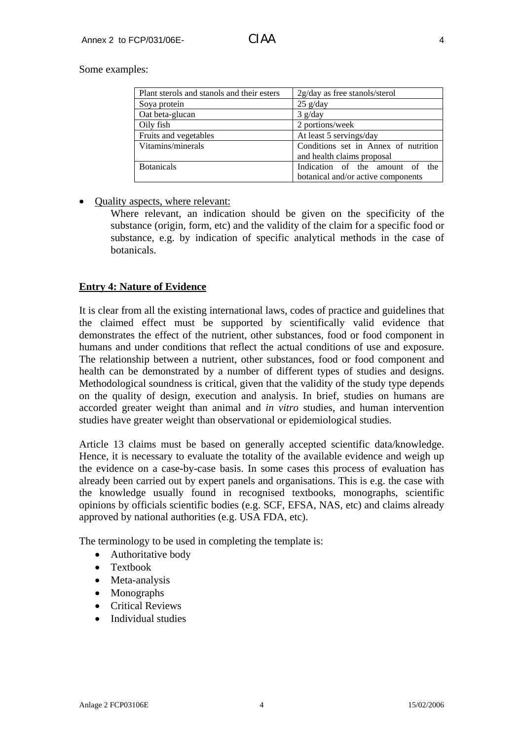Some examples:

| Plant sterols and stanols and their esters | 2g/day as free stanols/sterol        |
|--------------------------------------------|--------------------------------------|
| Soya protein                               | $25$ g/day                           |
| Oat beta-glucan                            | $3$ g/day                            |
| Oily fish                                  | 2 portions/week                      |
| Fruits and vegetables                      | At least 5 servings/day              |
| Vitamins/minerals                          | Conditions set in Annex of nutrition |
|                                            | and health claims proposal           |
| <b>Botanicals</b>                          | Indication of the amount of the      |
|                                            | botanical and/or active components   |

### • Quality aspects, where relevant:

Where relevant, an indication should be given on the specificity of the substance (origin, form, etc) and the validity of the claim for a specific food or substance, e.g. by indication of specific analytical methods in the case of botanicals.

### **Entry 4: Nature of Evidence**

It is clear from all the existing international laws, codes of practice and guidelines that the claimed effect must be supported by scientifically valid evidence that demonstrates the effect of the nutrient, other substances, food or food component in humans and under conditions that reflect the actual conditions of use and exposure. The relationship between a nutrient, other substances, food or food component and health can be demonstrated by a number of different types of studies and designs. Methodological soundness is critical, given that the validity of the study type depends on the quality of design, execution and analysis. In brief, studies on humans are accorded greater weight than animal and *in vitro* studies, and human intervention studies have greater weight than observational or epidemiological studies.

Article 13 claims must be based on generally accepted scientific data/knowledge. Hence, it is necessary to evaluate the totality of the available evidence and weigh up the evidence on a case-by-case basis. In some cases this process of evaluation has already been carried out by expert panels and organisations. This is e.g. the case with the knowledge usually found in recognised textbooks, monographs, scientific opinions by officials scientific bodies (e.g. SCF, EFSA, NAS, etc) and claims already approved by national authorities (e.g. USA FDA, etc).

The terminology to be used in completing the template is:

- Authoritative body
- Textbook
- Meta-analysis
- Monographs
- Critical Reviews
- Individual studies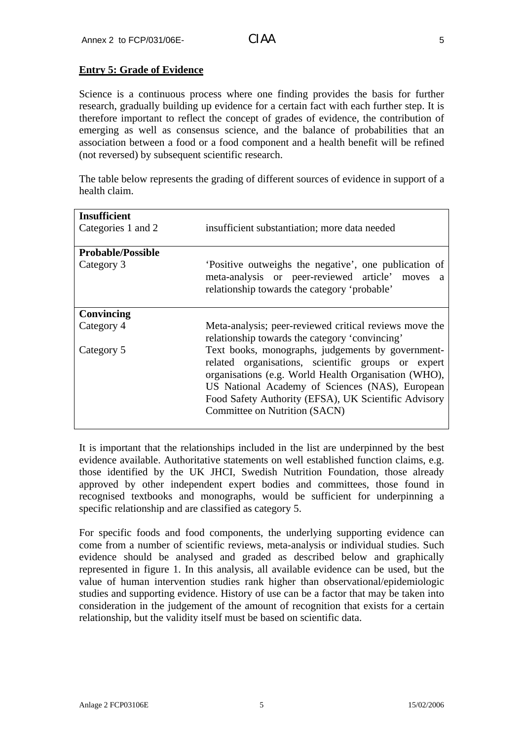# **Entry 5: Grade of Evidence**

Science is a continuous process where one finding provides the basis for further research, gradually building up evidence for a certain fact with each further step. It is therefore important to reflect the concept of grades of evidence, the contribution of emerging as well as consensus science, and the balance of probabilities that an association between a food or a food component and a health benefit will be refined (not reversed) by subsequent scientific research.

The table below represents the grading of different sources of evidence in support of a health claim.

| <b>Insufficient</b>      |                                                                                                                                                                                                                                                                                                             |
|--------------------------|-------------------------------------------------------------------------------------------------------------------------------------------------------------------------------------------------------------------------------------------------------------------------------------------------------------|
| Categories 1 and 2       | insufficient substantiation; more data needed                                                                                                                                                                                                                                                               |
| <b>Probable/Possible</b> |                                                                                                                                                                                                                                                                                                             |
|                          |                                                                                                                                                                                                                                                                                                             |
| Category 3               | Positive outweighs the negative', one publication of<br>meta-analysis or peer-reviewed article' moves<br>a a<br>relationship towards the category 'probable'                                                                                                                                                |
| Convincing               |                                                                                                                                                                                                                                                                                                             |
| Category 4               | Meta-analysis; peer-reviewed critical reviews move the<br>relationship towards the category 'convincing'                                                                                                                                                                                                    |
| Category 5               | Text books, monographs, judgements by government-<br>related organisations, scientific groups or expert<br>organisations (e.g. World Health Organisation (WHO),<br>US National Academy of Sciences (NAS), European<br>Food Safety Authority (EFSA), UK Scientific Advisory<br>Committee on Nutrition (SACN) |

It is important that the relationships included in the list are underpinned by the best evidence available. Authoritative statements on well established function claims, e.g. those identified by the UK JHCI, Swedish Nutrition Foundation, those already approved by other independent expert bodies and committees, those found in recognised textbooks and monographs, would be sufficient for underpinning a specific relationship and are classified as category 5.

For specific foods and food components, the underlying supporting evidence can come from a number of scientific reviews, meta-analysis or individual studies. Such evidence should be analysed and graded as described below and graphically represented in figure 1. In this analysis, all available evidence can be used, but the value of human intervention studies rank higher than observational/epidemiologic studies and supporting evidence. History of use can be a factor that may be taken into consideration in the judgement of the amount of recognition that exists for a certain relationship, but the validity itself must be based on scientific data.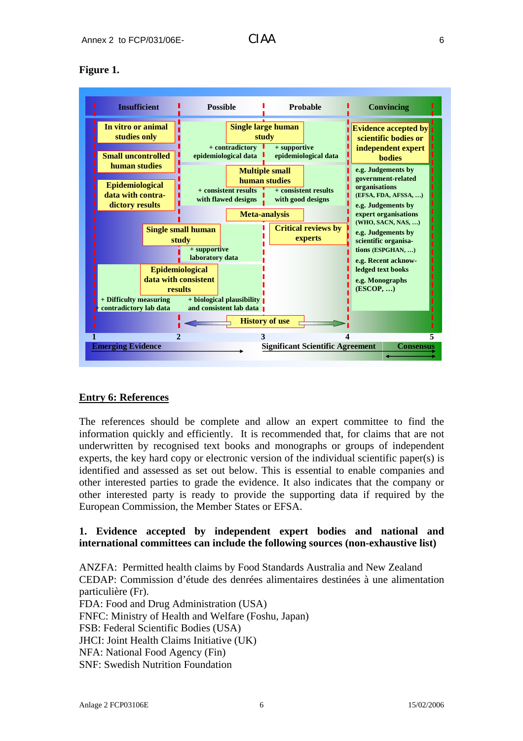## **Figure 1.**



### **Entry 6: References**

The references should be complete and allow an expert committee to find the information quickly and efficiently. It is recommended that, for claims that are not underwritten by recognised text books and monographs or groups of independent experts, the key hard copy or electronic version of the individual scientific paper(s) is identified and assessed as set out below. This is essential to enable companies and other interested parties to grade the evidence. It also indicates that the company or other interested party is ready to provide the supporting data if required by the European Commission, the Member States or EFSA.

### **1. Evidence accepted by independent expert bodies and national and international committees can include the following sources (non-exhaustive list)**

ANZFA: Permitted health claims by Food Standards Australia and New Zealand CEDAP: Commission d'étude des denrées alimentaires destinées à une alimentation particulière (Fr). FDA: Food and Drug Administration (USA) FNFC: Ministry of Health and Welfare (Foshu, Japan) FSB: Federal Scientific Bodies (USA) JHCI: Joint Health Claims Initiative (UK) NFA: National Food Agency (Fin) SNF: Swedish Nutrition Foundation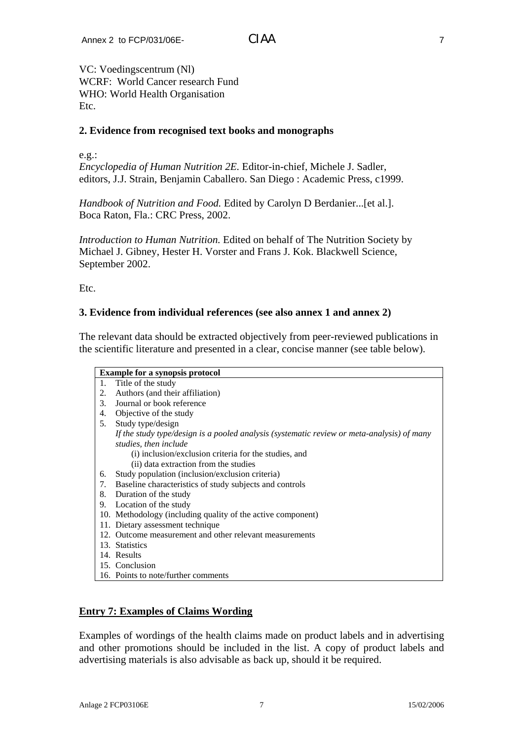VC: Voedingscentrum (Nl) WCRF: World Cancer research Fund WHO: World Health Organisation Etc.

## **2. Evidence from recognised text books and monographs**

e.g.:

*Encyclopedia of Human Nutrition 2E.* Editor-in-chief, Michele J. Sadler, editors, J.J. Strain, Benjamin Caballero. San Diego : Academic Press, c1999.

*Handbook of Nutrition and Food.* Edited by Carolyn D Berdanier...[et al.]. Boca Raton, Fla.: CRC Press, 2002.

*Introduction to Human Nutrition.* Edited on behalf of The Nutrition Society by Michael J. Gibney, Hester H. Vorster and Frans J. Kok. Blackwell Science, September 2002.

Etc.

# **3. Evidence from individual references (see also annex 1 and annex 2)**

The relevant data should be extracted objectively from peer-reviewed publications in the scientific literature and presented in a clear, concise manner (see table below).

|    | <b>Example for a synopsis protocol</b>                                                     |
|----|--------------------------------------------------------------------------------------------|
| 1. | Title of the study                                                                         |
| 2. | Authors (and their affiliation)                                                            |
| 3. | Journal or book reference                                                                  |
| 4. | Objective of the study                                                                     |
| 5. | Study type/design                                                                          |
|    | If the study type/design is a pooled analysis (systematic review or meta-analysis) of many |
|    | studies, then include                                                                      |
|    | (i) inclusion/exclusion criteria for the studies, and                                      |
|    | (ii) data extraction from the studies                                                      |
| 6. | Study population (inclusion/exclusion criteria)                                            |
| 7. | Baseline characteristics of study subjects and controls                                    |
| 8. | Duration of the study                                                                      |
| 9. | Location of the study                                                                      |
|    | 10. Methodology (including quality of the active component)                                |
|    | 11. Dietary assessment technique                                                           |
|    | 12. Outcome measurement and other relevant measurements                                    |
|    | 13. Statistics                                                                             |
|    | 14. Results                                                                                |
|    | 15. Conclusion                                                                             |
|    | 16. Points to note/further comments                                                        |

### **Entry 7: Examples of Claims Wording**

Examples of wordings of the health claims made on product labels and in advertising and other promotions should be included in the list. A copy of product labels and advertising materials is also advisable as back up, should it be required.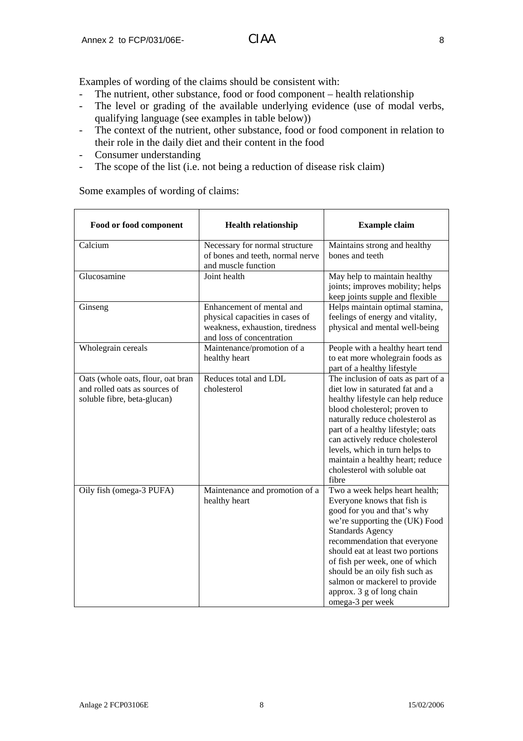Examples of wording of the claims should be consistent with:

- The nutrient, other substance, food or food component health relationship
- The level or grading of the available underlying evidence (use of modal verbs, qualifying language (see examples in table below))
- The context of the nutrient, other substance, food or food component in relation to their role in the daily diet and their content in the food
- Consumer understanding
- The scope of the list (i.e. not being a reduction of disease risk claim)

| Food or food component                                                                            | <b>Health relationship</b>                                                                                                   | <b>Example claim</b>                                                                                                                                                                                                                                                                                                                                                                |
|---------------------------------------------------------------------------------------------------|------------------------------------------------------------------------------------------------------------------------------|-------------------------------------------------------------------------------------------------------------------------------------------------------------------------------------------------------------------------------------------------------------------------------------------------------------------------------------------------------------------------------------|
| Calcium                                                                                           | Necessary for normal structure<br>of bones and teeth, normal nerve<br>and muscle function                                    | Maintains strong and healthy<br>bones and teeth                                                                                                                                                                                                                                                                                                                                     |
| Glucosamine                                                                                       | Joint health                                                                                                                 | May help to maintain healthy<br>joints; improves mobility; helps<br>keep joints supple and flexible                                                                                                                                                                                                                                                                                 |
| Ginseng                                                                                           | Enhancement of mental and<br>physical capacities in cases of<br>weakness, exhaustion, tiredness<br>and loss of concentration | Helps maintain optimal stamina,<br>feelings of energy and vitality,<br>physical and mental well-being                                                                                                                                                                                                                                                                               |
| Wholegrain cereals                                                                                | Maintenance/promotion of a<br>healthy heart                                                                                  | People with a healthy heart tend<br>to eat more wholegrain foods as<br>part of a healthy lifestyle                                                                                                                                                                                                                                                                                  |
| Oats (whole oats, flour, oat bran<br>and rolled oats as sources of<br>soluble fibre, beta-glucan) | Reduces total and LDL<br>cholesterol                                                                                         | The inclusion of oats as part of a<br>diet low in saturated fat and a<br>healthy lifestyle can help reduce<br>blood cholesterol; proven to<br>naturally reduce cholesterol as<br>part of a healthy lifestyle; oats<br>can actively reduce cholesterol<br>levels, which in turn helps to<br>maintain a healthy heart; reduce<br>cholesterol with soluble oat<br>fibre                |
| Oily fish (omega-3 PUFA)                                                                          | Maintenance and promotion of a<br>healthy heart                                                                              | Two a week helps heart health;<br>Everyone knows that fish is<br>good for you and that's why<br>we're supporting the (UK) Food<br><b>Standards Agency</b><br>recommendation that everyone<br>should eat at least two portions<br>of fish per week, one of which<br>should be an oily fish such as<br>salmon or mackerel to provide<br>approx. 3 g of long chain<br>omega-3 per week |

Some examples of wording of claims: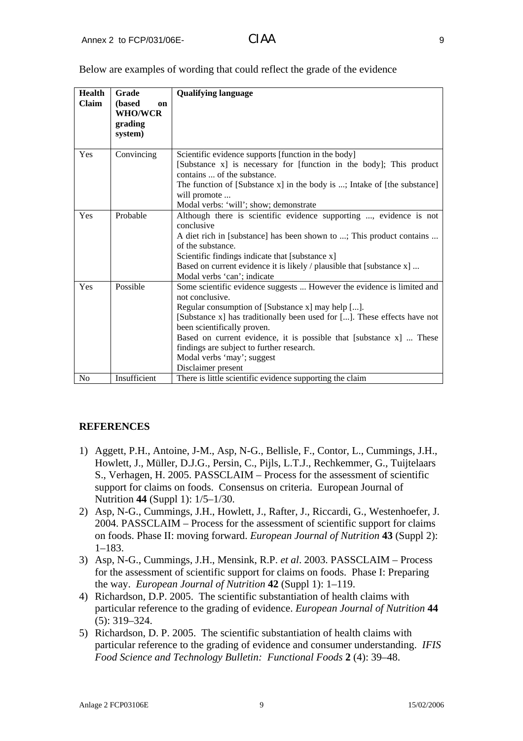| <b>Health</b>  | Grade                                                | <b>Qualifying language</b>                                                                                                                                                                                                                                                                                                                                                                                                        |  |
|----------------|------------------------------------------------------|-----------------------------------------------------------------------------------------------------------------------------------------------------------------------------------------------------------------------------------------------------------------------------------------------------------------------------------------------------------------------------------------------------------------------------------|--|
| <b>Claim</b>   | (based<br>on<br><b>WHO/WCR</b><br>grading<br>system) |                                                                                                                                                                                                                                                                                                                                                                                                                                   |  |
| Yes            | Convincing                                           | Scientific evidence supports [function in the body]<br>[Substance x] is necessary for [function in the body]; This product<br>contains  of the substance.<br>The function of [Substance x] in the body is ; Intake of [the substance]<br>will promote<br>Modal verbs: 'will'; show; demonstrate                                                                                                                                   |  |
| Yes            | Probable                                             | Although there is scientific evidence supporting , evidence is not<br>conclusive<br>A diet rich in [substance] has been shown to ; This product contains<br>of the substance.<br>Scientific findings indicate that [substance x]<br>Based on current evidence it is likely / plausible that [substance x]<br>Modal verbs 'can'; indicate                                                                                          |  |
| Yes            | Possible                                             | Some scientific evidence suggests  However the evidence is limited and<br>not conclusive.<br>Regular consumption of [Substance x] may help [].<br>[Substance x] has traditionally been used for []. These effects have not<br>been scientifically proven.<br>Based on current evidence, it is possible that [substance x]  These<br>findings are subject to further research.<br>Modal verbs 'may'; suggest<br>Disclaimer present |  |
| N <sub>0</sub> | Insufficient                                         | There is little scientific evidence supporting the claim                                                                                                                                                                                                                                                                                                                                                                          |  |

Below are examples of wording that could reflect the grade of the evidence

### **REFERENCES**

- 1) Aggett, P.H., Antoine, J-M., Asp, N-G., Bellisle, F., Contor, L., Cummings, J.H., Howlett, J., Müller, D.J.G., Persin, C., Pijls, L.T.J., Rechkemmer, G., Tuijtelaars S., Verhagen, H. 2005. PASSCLAIM – Process for the assessment of scientific support for claims on foods. Consensus on criteria. European Journal of Nutrition **44** (Suppl 1): 1/5–1/30.
- 2) Asp, N-G., Cummings, J.H., Howlett, J., Rafter, J., Riccardi, G., Westenhoefer, J. 2004. PASSCLAIM – Process for the assessment of scientific support for claims on foods. Phase II: moving forward. *European Journal of Nutrition* **43** (Suppl 2): 1–183.
- 3) Asp, N-G., Cummings, J.H., Mensink, R.P. *et al*. 2003. PASSCLAIM Process for the assessment of scientific support for claims on foods. Phase I: Preparing the way. *European Journal of Nutrition* **42** (Suppl 1): 1–119.
- 4) Richardson, D.P. 2005. The scientific substantiation of health claims with particular reference to the grading of evidence. *European Journal of Nutrition* **44** (5): 319–324.
- 5) Richardson, D. P. 2005. The scientific substantiation of health claims with particular reference to the grading of evidence and consumer understanding. *IFIS Food Science and Technology Bulletin: Functional Foods* **2** (4): 39–48.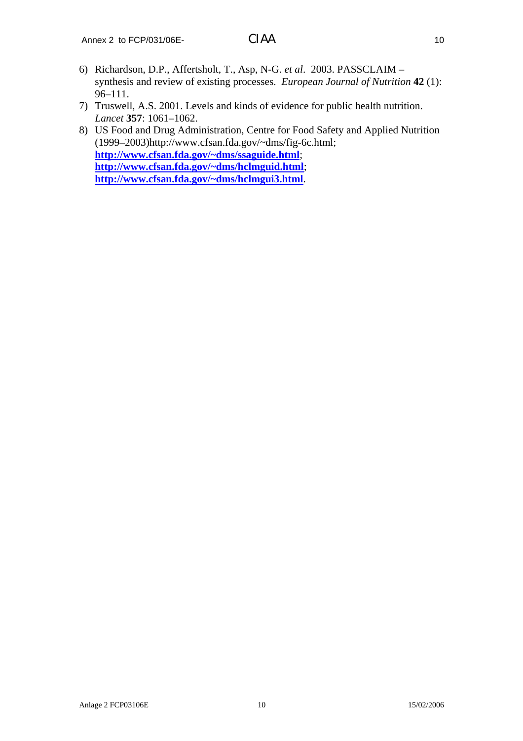- 6) Richardson, D.P., Affertsholt, T., Asp, N-G. *et al*. 2003. PASSCLAIM synthesis and review of existing processes. *European Journal of Nutrition* **42** (1): 96–111.
- 7) Truswell, A.S. 2001. Levels and kinds of evidence for public health nutrition. *Lancet* **357**: 1061–1062.
- 8) US Food and Drug Administration, Centre for Food Safety and Applied Nutrition (1999–2003)http://www.cfsan.fda.gov/~dms/fig-6c.html; **<http://www.cfsan.fda.gov/~dms/ssaguide.html>**; **<http://www.cfsan.fda.gov/~dms/hclmguid.html>**; **<http://www.cfsan.fda.gov/~dms/hclmgui3.html>**.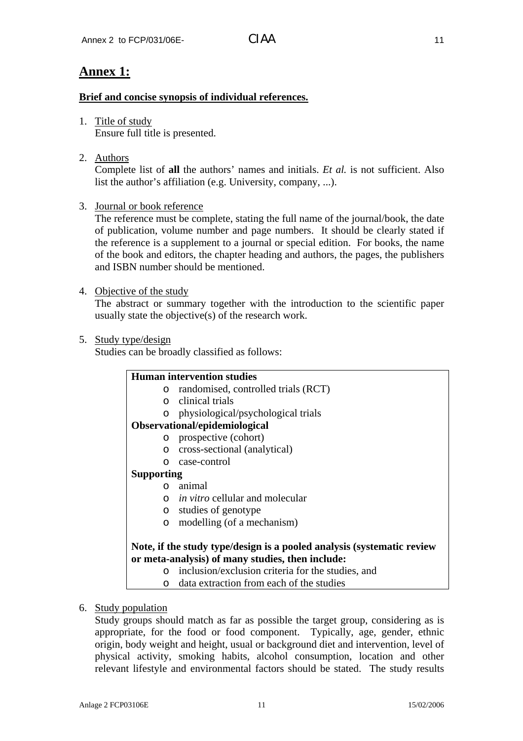# **Brief and concise synopsis of individual references.**

- 1. Title of study Ensure full title is presented.
- 2. Authors

Complete list of **all** the authors' names and initials. *Et al.* is not sufficient. Also list the author's affiliation (e.g. University, company, ...).

3. Journal or book reference

The reference must be complete, stating the full name of the journal/book, the date of publication, volume number and page numbers. It should be clearly stated if the reference is a supplement to a journal or special edition. For books, the name of the book and editors, the chapter heading and authors, the pages, the publishers and ISBN number should be mentioned.

4. Objective of the study

The abstract or summary together with the introduction to the scientific paper usually state the objective(s) of the research work.

# 5. Study type/design

Studies can be broadly classified as follows:

|                   | <b>Human intervention studies</b>                                      |
|-------------------|------------------------------------------------------------------------|
| $\circ$           | randomised, controlled trials (RCT)                                    |
| $\cap$            | clinical trials                                                        |
| O                 | physiological/psychological trials                                     |
|                   | Observational/epidemiological                                          |
| $\circ$           | prospective (cohort)                                                   |
| $\circ$           | cross-sectional (analytical)                                           |
| $\Omega$          | case-control                                                           |
| <b>Supporting</b> |                                                                        |
| $\Omega$          | animal                                                                 |
| $\Omega$          | <i>in vitro</i> cellular and molecular                                 |
| $\circ$           | studies of genotype                                                    |
| $\circ$           | modelling (of a mechanism)                                             |
|                   |                                                                        |
|                   | Note, if the study type/design is a pooled analysis (systematic review |
|                   | or meta-analysis) of many studies, then include:                       |

- o inclusion/exclusion criteria for the studies, and
- o data extraction from each of the studies
- 6. Study population

Study groups should match as far as possible the target group, considering as is appropriate, for the food or food component. Typically, age, gender, ethnic origin, body weight and height, usual or background diet and intervention, level of physical activity, smoking habits, alcohol consumption, location and other relevant lifestyle and environmental factors should be stated. The study results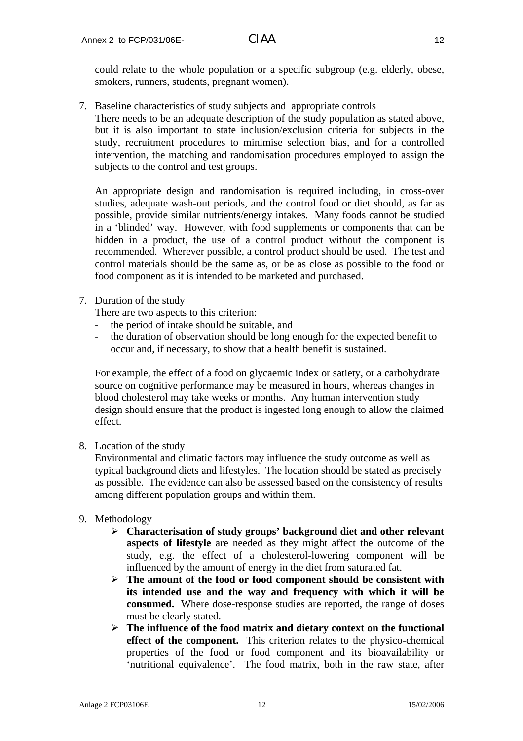could relate to the whole population or a specific subgroup (e.g. elderly, obese, smokers, runners, students, pregnant women).

7. Baseline characteristics of study subjects and appropriate controls

There needs to be an adequate description of the study population as stated above, but it is also important to state inclusion/exclusion criteria for subjects in the study, recruitment procedures to minimise selection bias, and for a controlled intervention, the matching and randomisation procedures employed to assign the subjects to the control and test groups.

An appropriate design and randomisation is required including, in cross-over studies, adequate wash-out periods, and the control food or diet should, as far as possible, provide similar nutrients/energy intakes. Many foods cannot be studied in a 'blinded' way. However, with food supplements or components that can be hidden in a product, the use of a control product without the component is recommended. Wherever possible, a control product should be used. The test and control materials should be the same as, or be as close as possible to the food or food component as it is intended to be marketed and purchased.

### 7. Duration of the study

There are two aspects to this criterion:

- the period of intake should be suitable, and
- the duration of observation should be long enough for the expected benefit to occur and, if necessary, to show that a health benefit is sustained.

For example, the effect of a food on glycaemic index or satiety, or a carbohydrate source on cognitive performance may be measured in hours, whereas changes in blood cholesterol may take weeks or months. Any human intervention study design should ensure that the product is ingested long enough to allow the claimed effect.

8. Location of the study

Environmental and climatic factors may influence the study outcome as well as typical background diets and lifestyles. The location should be stated as precisely as possible. The evidence can also be assessed based on the consistency of results among different population groups and within them.

- 9. Methodology
	- ¾ **Characterisation of study groups' background diet and other relevant aspects of lifestyle** are needed as they might affect the outcome of the study, e.g. the effect of a cholesterol-lowering component will be influenced by the amount of energy in the diet from saturated fat.
	- ¾ **The amount of the food or food component should be consistent with its intended use and the way and frequency with which it will be consumed.** Where dose-response studies are reported, the range of doses must be clearly stated.
	- ¾ **The influence of the food matrix and dietary context on the functional effect of the component.** This criterion relates to the physico-chemical properties of the food or food component and its bioavailability or 'nutritional equivalence'. The food matrix, both in the raw state, after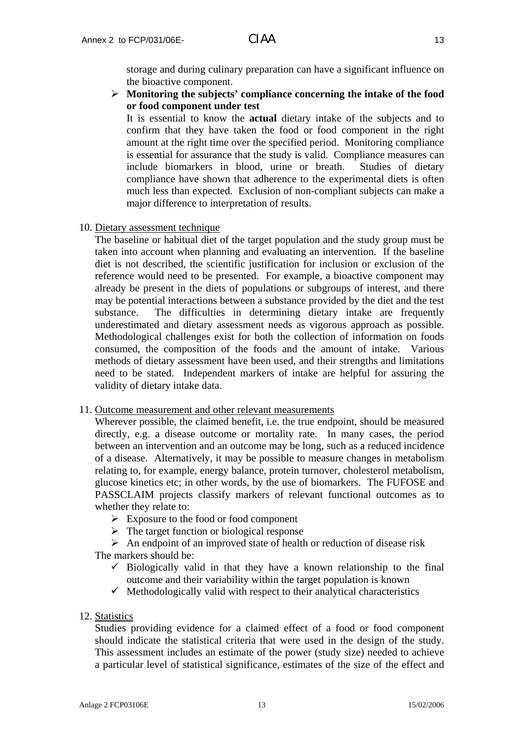storage and during culinary preparation can have a significant influence on the bioactive component.

¾ **Monitoring the subjects' compliance concerning the intake of the food or food component under test**

It is essential to know the **actual** dietary intake of the subjects and to confirm that they have taken the food or food component in the right amount at the right time over the specified period. Monitoring compliance is essential for assurance that the study is valid. Compliance measures can include biomarkers in blood, urine or breath. Studies of dietary compliance have shown that adherence to the experimental diets is often much less than expected. Exclusion of non-compliant subjects can make a major difference to interpretation of results.

10. Dietary assessment technique

The baseline or habitual diet of the target population and the study group must be taken into account when planning and evaluating an intervention. If the baseline diet is not described, the scientific justification for inclusion or exclusion of the reference would need to be presented. For example, a bioactive component may already be present in the diets of populations or subgroups of interest, and there may be potential interactions between a substance provided by the diet and the test substance. The difficulties in determining dietary intake are frequently underestimated and dietary assessment needs as vigorous approach as possible. Methodological challenges exist for both the collection of information on foods consumed, the composition of the foods and the amount of intake. Various methods of dietary assessment have been used, and their strengths and limitations need to be stated. Independent markers of intake are helpful for assuring the validity of dietary intake data.

#### 11. Outcome measurement and other relevant measurements

Wherever possible, the claimed benefit, i.e. the true endpoint, should be measured directly, e.g. a disease outcome or mortality rate. In many cases, the period between an intervention and an outcome may be long, such as a reduced incidence of a disease. Alternatively, it may be possible to measure changes in metabolism relating to, for example, energy balance, protein turnover, cholesterol metabolism, glucose kinetics etc; in other words, by the use of biomarkers. The FUFOSE and PASSCLAIM projects classify markers of relevant functional outcomes as to whether they relate to:

- ¾ Exposure to the food or food component
- $\triangleright$  The target function or biological response
- $\triangleright$  An endpoint of an improved state of health or reduction of disease risk The markers should be:
	- $\checkmark$  Biologically valid in that they have a known relationship to the final outcome and their variability within the target population is known
	- $\checkmark$  Methodologically valid with respect to their analytical characteristics
- 12. Statistics

Studies providing evidence for a claimed effect of a food or food component should indicate the statistical criteria that were used in the design of the study. This assessment includes an estimate of the power (study size) needed to achieve a particular level of statistical significance, estimates of the size of the effect and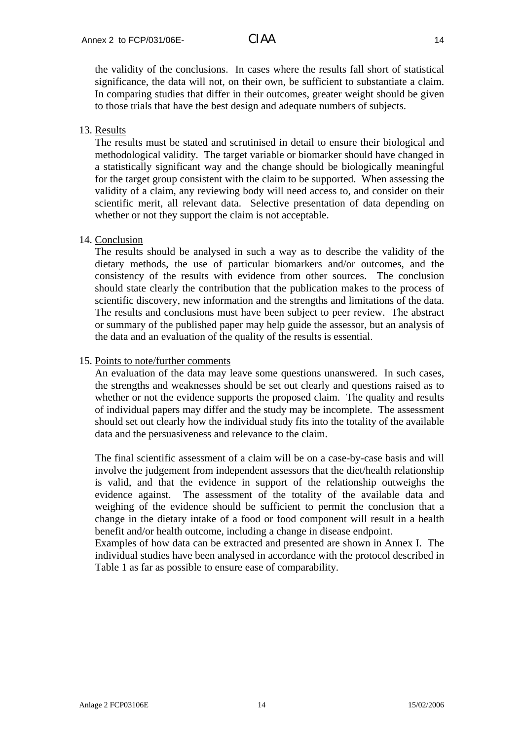the validity of the conclusions. In cases where the results fall short of statistical significance, the data will not, on their own, be sufficient to substantiate a claim. In comparing studies that differ in their outcomes, greater weight should be given to those trials that have the best design and adequate numbers of subjects.

# 13. Results

The results must be stated and scrutinised in detail to ensure their biological and methodological validity. The target variable or biomarker should have changed in a statistically significant way and the change should be biologically meaningful for the target group consistent with the claim to be supported. When assessing the validity of a claim, any reviewing body will need access to, and consider on their scientific merit, all relevant data. Selective presentation of data depending on whether or not they support the claim is not acceptable.

### 14. Conclusion

The results should be analysed in such a way as to describe the validity of the dietary methods, the use of particular biomarkers and/or outcomes, and the consistency of the results with evidence from other sources. The conclusion should state clearly the contribution that the publication makes to the process of scientific discovery, new information and the strengths and limitations of the data. The results and conclusions must have been subject to peer review. The abstract or summary of the published paper may help guide the assessor, but an analysis of the data and an evaluation of the quality of the results is essential.

### 15. Points to note/further comments

An evaluation of the data may leave some questions unanswered. In such cases, the strengths and weaknesses should be set out clearly and questions raised as to whether or not the evidence supports the proposed claim. The quality and results of individual papers may differ and the study may be incomplete. The assessment should set out clearly how the individual study fits into the totality of the available data and the persuasiveness and relevance to the claim.

The final scientific assessment of a claim will be on a case-by-case basis and will involve the judgement from independent assessors that the diet/health relationship is valid, and that the evidence in support of the relationship outweighs the evidence against. The assessment of the totality of the available data and weighing of the evidence should be sufficient to permit the conclusion that a change in the dietary intake of a food or food component will result in a health benefit and/or health outcome, including a change in disease endpoint.

Examples of how data can be extracted and presented are shown in Annex I. The individual studies have been analysed in accordance with the protocol described in Table 1 as far as possible to ensure ease of comparability.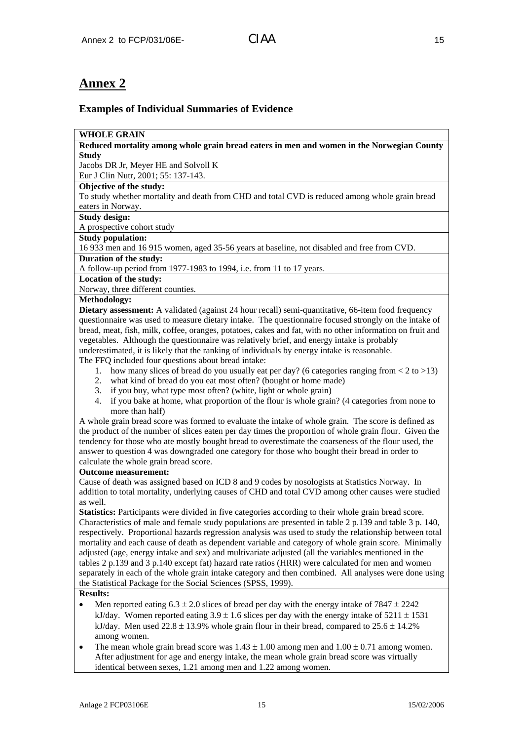# **Annex 2**

# **Examples of Individual Summaries of Evidence**

### **WHOLE GRAIN**

**Reduced mortality among whole grain bread eaters in men and women in the Norwegian County Study** 

Jacobs DR Jr, Meyer HE and Solvoll K

# Eur J Clin Nutr, 2001; 55: 137-143.

### **Objective of the study:**

To study whether mortality and death from CHD and total CVD is reduced among whole grain bread eaters in Norway.

#### **Study design:**

A prospective cohort study

### **Study population:**

16 933 men and 16 915 women, aged 35-56 years at baseline, not disabled and free from CVD. **Duration of the study:** 

A follow-up period from 1977-1983 to 1994, i.e. from 11 to 17 years.

# **Location of the study:**

Norway, three different counties.

### **Methodology:**

**Dietary assessment:** A validated (against 24 hour recall) semi-quantitative, 66-item food frequency questionnaire was used to measure dietary intake. The questionnaire focused strongly on the intake of bread, meat, fish, milk, coffee, oranges, potatoes, cakes and fat, with no other information on fruit and vegetables. Although the questionnaire was relatively brief, and energy intake is probably underestimated, it is likely that the ranking of individuals by energy intake is reasonable.

The FFQ included four questions about bread intake:

- 1. how many slices of bread do you usually eat per day? (6 categories ranging from  $< 2$  to  $>13$ )
- 2. what kind of bread do you eat most often? (bought or home made)
- 3. if you buy, what type most often? (white, light or whole grain)
- 4. if you bake at home, what proportion of the flour is whole grain? (4 categories from none to more than half)

A whole grain bread score was formed to evaluate the intake of whole grain. The score is defined as the product of the number of slices eaten per day times the proportion of whole grain flour. Given the tendency for those who ate mostly bought bread to overestimate the coarseness of the flour used, the answer to question 4 was downgraded one category for those who bought their bread in order to calculate the whole grain bread score.

#### **Outcome measurement:**

Cause of death was assigned based on ICD 8 and 9 codes by nosologists at Statistics Norway. In addition to total mortality, underlying causes of CHD and total CVD among other causes were studied as well.

**Statistics:** Participants were divided in five categories according to their whole grain bread score. Characteristics of male and female study populations are presented in table 2 p.139 and table 3 p. 140, respectively. Proportional hazards regression analysis was used to study the relationship between total mortality and each cause of death as dependent variable and category of whole grain score. Minimally adjusted (age, energy intake and sex) and multivariate adjusted (all the variables mentioned in the tables 2 p.139 and 3 p.140 except fat) hazard rate ratios (HRR) were calculated for men and women separately in each of the whole grain intake category and then combined. All analyses were done using the Statistical Package for the Social Sciences (SPSS, 1999).

### **Results:**

- Men reported eating  $6.3 \pm 2.0$  slices of bread per day with the energy intake of 7847  $\pm$  2242 kJ/day. Women reported eating  $3.9 \pm 1.6$  slices per day with the energy intake of  $5211 \pm 1531$ kJ/day. Men used  $22.8 \pm 13.9\%$  whole grain flour in their bread, compared to  $25.6 \pm 14.2\%$ among women.
- The mean whole grain bread score was  $1.43 \pm 1.00$  among men and  $1.00 \pm 0.71$  among women. After adjustment for age and energy intake, the mean whole grain bread score was virtually identical between sexes, 1.21 among men and 1.22 among women.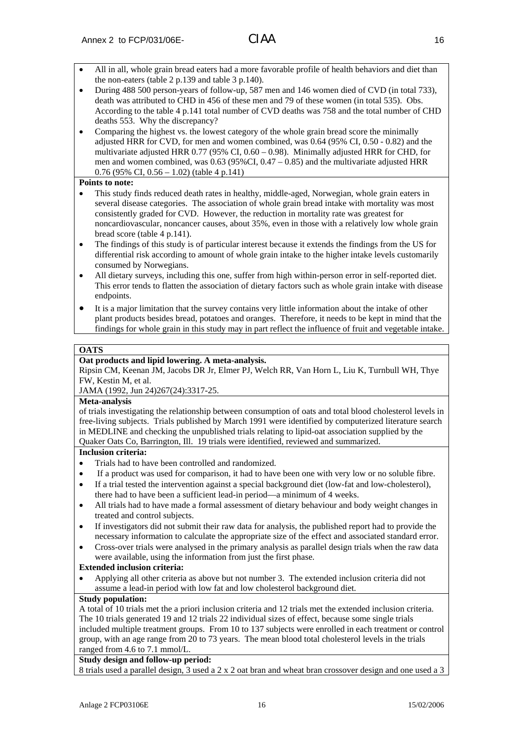- All in all, whole grain bread eaters had a more favorable profile of health behaviors and diet than the non-eaters (table 2 p.139 and table 3 p.140).
- During 488 500 person-years of follow-up, 587 men and 146 women died of CVD (in total 733), death was attributed to CHD in 456 of these men and 79 of these women (in total 535). Obs. According to the table 4 p.141 total number of CVD deaths was 758 and the total number of CHD deaths 553. Why the discrepancy?
- Comparing the highest vs. the lowest category of the whole grain bread score the minimally adjusted HRR for CVD, for men and women combined, was 0.64 (95% CI, 0.50 - 0.82) and the multivariate adjusted HRR 0.77 (95% CI, 0.60 – 0.98). Minimally adjusted HRR for CHD, for men and women combined, was  $0.63$  (95%CI,  $0.47 - 0.85$ ) and the multivariate adjusted HRR 0.76 (95% CI, 0.56 – 1.02) (table 4 p.141)

#### **Points to note:**

- This study finds reduced death rates in healthy, middle-aged, Norwegian, whole grain eaters in several disease categories. The association of whole grain bread intake with mortality was most consistently graded for CVD. However, the reduction in mortality rate was greatest for noncardiovascular, noncancer causes, about 35%, even in those with a relatively low whole grain bread score (table 4 p.141).
- The findings of this study is of particular interest because it extends the findings from the US for differential risk according to amount of whole grain intake to the higher intake levels customarily consumed by Norwegians.
- All dietary surveys, including this one, suffer from high within-person error in self-reported diet. This error tends to flatten the association of dietary factors such as whole grain intake with disease endpoints.
- It is a major limitation that the survey contains very little information about the intake of other plant products besides bread, potatoes and oranges. Therefore, it needs to be kept in mind that the findings for whole grain in this study may in part reflect the influence of fruit and vegetable intake.

#### **OATS**

### **Oat products and lipid lowering. A meta-analysis.**

Ripsin CM, Keenan JM, Jacobs DR Jr, Elmer PJ, Welch RR, Van Horn L, Liu K, Turnbull WH, Thye FW, Kestin M, et al.

JAMA (1992, Jun 24)267(24):3317-25.

#### **Meta-analysis**

of trials investigating the relationship between consumption of oats and total blood cholesterol levels in free-living subjects. Trials published by March 1991 were identified by computerized literature search in MEDLINE and checking the unpublished trials relating to lipid-oat association supplied by the Quaker Oats Co, Barrington, Ill. 19 trials were identified, reviewed and summarized.

#### **Inclusion criteria:**

- Trials had to have been controlled and randomized.
- If a product was used for comparison, it had to have been one with very low or no soluble fibre.
- If a trial tested the intervention against a special background diet (low-fat and low-cholesterol), there had to have been a sufficient lead-in period—a minimum of 4 weeks.
- All trials had to have made a formal assessment of dietary behaviour and body weight changes in treated and control subjects.
- If investigators did not submit their raw data for analysis, the published report had to provide the necessary information to calculate the appropriate size of the effect and associated standard error.
- Cross-over trials were analysed in the primary analysis as parallel design trials when the raw data were available, using the information from just the first phase.

#### **Extended inclusion criteria:**

• Applying all other criteria as above but not number 3. The extended inclusion criteria did not assume a lead-in period with low fat and low cholesterol background diet.

#### **Study population:**

A total of 10 trials met the a priori inclusion criteria and 12 trials met the extended inclusion criteria. The 10 trials generated 19 and 12 trials 22 individual sizes of effect, because some single trials included multiple treatment groups. From 10 to 137 subjects were enrolled in each treatment or control group, with an age range from 20 to 73 years. The mean blood total cholesterol levels in the trials ranged from 4.6 to 7.1 mmol/L.

#### **Study design and follow-up period:**

8 trials used a parallel design, 3 used a 2 x 2 oat bran and wheat bran crossover design and one used a 3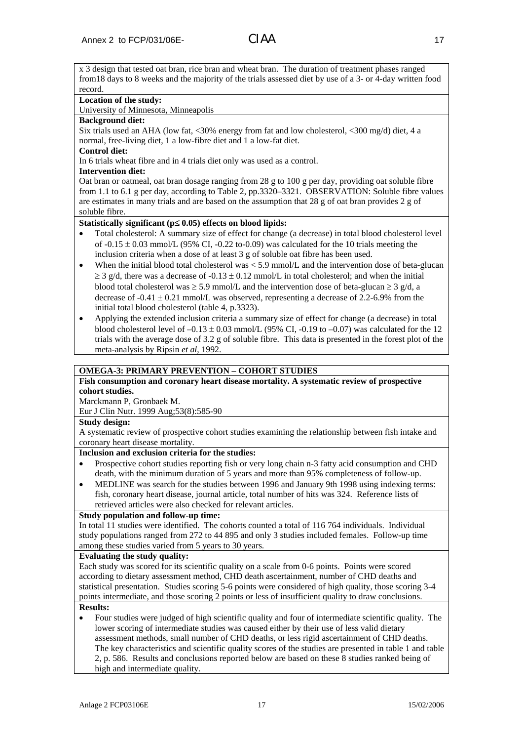x 3 design that tested oat bran, rice bran and wheat bran. The duration of treatment phases ranged from18 days to 8 weeks and the majority of the trials assessed diet by use of a 3- or 4-day written food record.

#### **Location of the study:**

University of Minnesota, Minneapolis

#### **Background diet:**

Six trials used an AHA (low fat, <30% energy from fat and low cholesterol, <300 mg/d) diet, 4 a normal, free-living diet, 1 a low-fibre diet and 1 a low-fat diet.

#### **Control diet:**

In 6 trials wheat fibre and in 4 trials diet only was used as a control.

#### **Intervention diet:**

Oat bran or oatmeal, oat bran dosage ranging from 28 g to 100 g per day, providing oat soluble fibre from 1.1 to 6.1 g per day, according to Table 2, pp.3320–3321. OBSERVATION: Soluble fibre values are estimates in many trials and are based on the assumption that 28 g of oat bran provides 2 g of soluble fibre.

### **Statistically significant (p**≤ **0.05) effects on blood lipids:**

- Total cholesterol: A summary size of effect for change (a decrease) in total blood cholesterol level of  $-0.15 \pm 0.03$  mmol/L (95% CI,  $-0.22$  to-0.09) was calculated for the 10 trials meeting the inclusion criteria when a dose of at least 3 g of soluble oat fibre has been used.
- When the initial blood total cholesterol was  $\lt 5.9$  mmol/L and the intervention dose of beta-glucan  $\geq$  3 g/d, there was a decrease of -0.13  $\pm$  0.12 mmol/L in total cholesterol; and when the initial blood total cholesterol was  $\geq$  5.9 mmol/L and the intervention dose of beta-glucan  $\geq$  3 g/d, a decrease of  $-0.41 \pm 0.21$  mmol/L was observed, representing a decrease of 2.2-6.9% from the initial total blood cholesterol (table 4, p.3323).
- Applying the extended inclusion criteria a summary size of effect for change (a decrease) in total blood cholesterol level of  $-0.13 \pm 0.03$  mmol/L (95% CI,  $-0.19$  to  $-0.07$ ) was calculated for the 12 trials with the average dose of 3.2 g of soluble fibre. This data is presented in the forest plot of the meta-analysis by Ripsin *et al*, 1992.

### **OMEGA-3: PRIMARY PREVENTION – COHORT STUDIES**

### **Fish consumption and coronary heart disease mortality. A systematic review of prospective cohort studies.**

Marckmann P, Gronbaek M. Eur J Clin Nutr. 1999 Aug;53(8):585-90

# **Study design:**

A systematic review of prospective cohort studies examining the relationship between fish intake and coronary heart disease mortality.

#### **Inclusion and exclusion criteria for the studies:**

- Prospective cohort studies reporting fish or very long chain n-3 fatty acid consumption and CHD death, with the minimum duration of 5 years and more than 95% completeness of follow-up.
- MEDLINE was search for the studies between 1996 and January 9th 1998 using indexing terms: fish, coronary heart disease, journal article, total number of hits was 324. Reference lists of retrieved articles were also checked for relevant articles.

### **Study population and follow-up time:**

In total 11 studies were identified. The cohorts counted a total of 116 764 individuals. Individual study populations ranged from 272 to 44 895 and only 3 studies included females. Follow-up time among these studies varied from 5 years to 30 years.

#### **Evaluating the study quality:**

Each study was scored for its scientific quality on a scale from 0-6 points. Points were scored according to dietary assessment method, CHD death ascertainment, number of CHD deaths and statistical presentation. Studies scoring 5-6 points were considered of high quality, those scoring 3-4 points intermediate, and those scoring 2 points or less of insufficient quality to draw conclusions. **Results:** 

#### • Four studies were judged of high scientific quality and four of intermediate scientific quality. The lower scoring of intermediate studies was caused either by their use of less valid dietary assessment methods, small number of CHD deaths, or less rigid ascertainment of CHD deaths. The key characteristics and scientific quality scores of the studies are presented in table 1 and table 2, p. 586. Results and conclusions reported below are based on these 8 studies ranked being of high and intermediate quality.